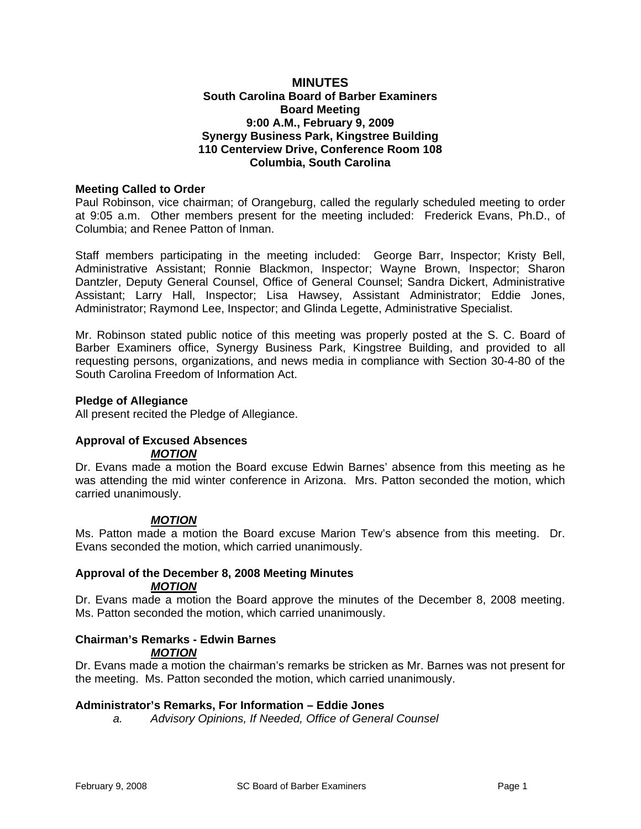### **MINUTES South Carolina Board of Barber Examiners Board Meeting 9:00 A.M., February 9, 2009 Synergy Business Park, Kingstree Building 110 Centerview Drive, Conference Room 108 Columbia, South Carolina**

### **Meeting Called to Order**

Paul Robinson, vice chairman; of Orangeburg, called the regularly scheduled meeting to order at 9:05 a.m. Other members present for the meeting included: Frederick Evans, Ph.D., of Columbia; and Renee Patton of Inman.

Staff members participating in the meeting included: George Barr, Inspector; Kristy Bell, Administrative Assistant; Ronnie Blackmon, Inspector; Wayne Brown, Inspector; Sharon Dantzler, Deputy General Counsel, Office of General Counsel; Sandra Dickert, Administrative Assistant; Larry Hall, Inspector; Lisa Hawsey, Assistant Administrator; Eddie Jones, Administrator; Raymond Lee, Inspector; and Glinda Legette, Administrative Specialist.

Mr. Robinson stated public notice of this meeting was properly posted at the S. C. Board of Barber Examiners office, Synergy Business Park, Kingstree Building, and provided to all requesting persons, organizations, and news media in compliance with Section 30-4-80 of the South Carolina Freedom of Information Act.

#### **Pledge of Allegiance**

All present recited the Pledge of Allegiance.

#### **Approval of Excused Absences**  *MOTION*

Dr. Evans made a motion the Board excuse Edwin Barnes' absence from this meeting as he was attending the mid winter conference in Arizona. Mrs. Patton seconded the motion, which carried unanimously.

### *MOTION*

Ms. Patton made a motion the Board excuse Marion Tew's absence from this meeting. Dr. Evans seconded the motion, which carried unanimously.

#### **Approval of the December 8, 2008 Meeting Minutes**  *MOTION*

Dr. Evans made a motion the Board approve the minutes of the December 8, 2008 meeting. Ms. Patton seconded the motion, which carried unanimously.

# **Chairman's Remarks - Edwin Barnes**  *MOTION*

Dr. Evans made a motion the chairman's remarks be stricken as Mr. Barnes was not present for the meeting. Ms. Patton seconded the motion, which carried unanimously.

# **Administrator's Remarks, For Information – Eddie Jones**

*a. Advisory Opinions, If Needed, Office of General Counsel*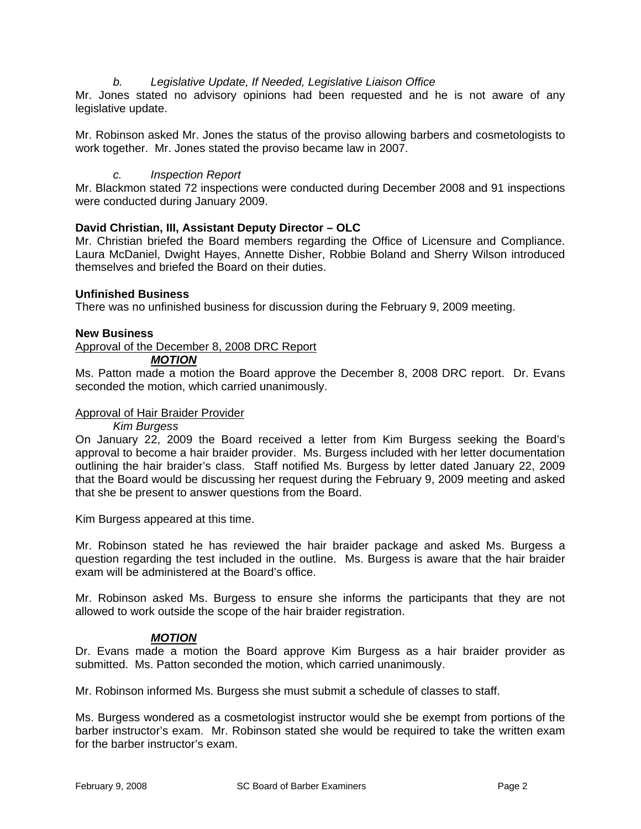# *b. Legislative Update, If Needed, Legislative Liaison Office*

Mr. Jones stated no advisory opinions had been requested and he is not aware of any legislative update.

Mr. Robinson asked Mr. Jones the status of the proviso allowing barbers and cosmetologists to work together. Mr. Jones stated the proviso became law in 2007.

### *c. Inspection Report*

Mr. Blackmon stated 72 inspections were conducted during December 2008 and 91 inspections were conducted during January 2009.

# **David Christian, III, Assistant Deputy Director – OLC**

Mr. Christian briefed the Board members regarding the Office of Licensure and Compliance. Laura McDaniel, Dwight Hayes, Annette Disher, Robbie Boland and Sherry Wilson introduced themselves and briefed the Board on their duties.

### **Unfinished Business**

There was no unfinished business for discussion during the February 9, 2009 meeting.

#### **New Business**

Approval of the December 8, 2008 DRC Report

#### *MOTION*

Ms. Patton made a motion the Board approve the December 8, 2008 DRC report. Dr. Evans seconded the motion, which carried unanimously.

#### Approval of Hair Braider Provider

#### *Kim Burgess*

On January 22, 2009 the Board received a letter from Kim Burgess seeking the Board's approval to become a hair braider provider. Ms. Burgess included with her letter documentation outlining the hair braider's class. Staff notified Ms. Burgess by letter dated January 22, 2009 that the Board would be discussing her request during the February 9, 2009 meeting and asked that she be present to answer questions from the Board.

Kim Burgess appeared at this time.

Mr. Robinson stated he has reviewed the hair braider package and asked Ms. Burgess a question regarding the test included in the outline. Ms. Burgess is aware that the hair braider exam will be administered at the Board's office.

Mr. Robinson asked Ms. Burgess to ensure she informs the participants that they are not allowed to work outside the scope of the hair braider registration.

### *MOTION*

Dr. Evans made a motion the Board approve Kim Burgess as a hair braider provider as submitted. Ms. Patton seconded the motion, which carried unanimously.

Mr. Robinson informed Ms. Burgess she must submit a schedule of classes to staff.

Ms. Burgess wondered as a cosmetologist instructor would she be exempt from portions of the barber instructor's exam. Mr. Robinson stated she would be required to take the written exam for the barber instructor's exam.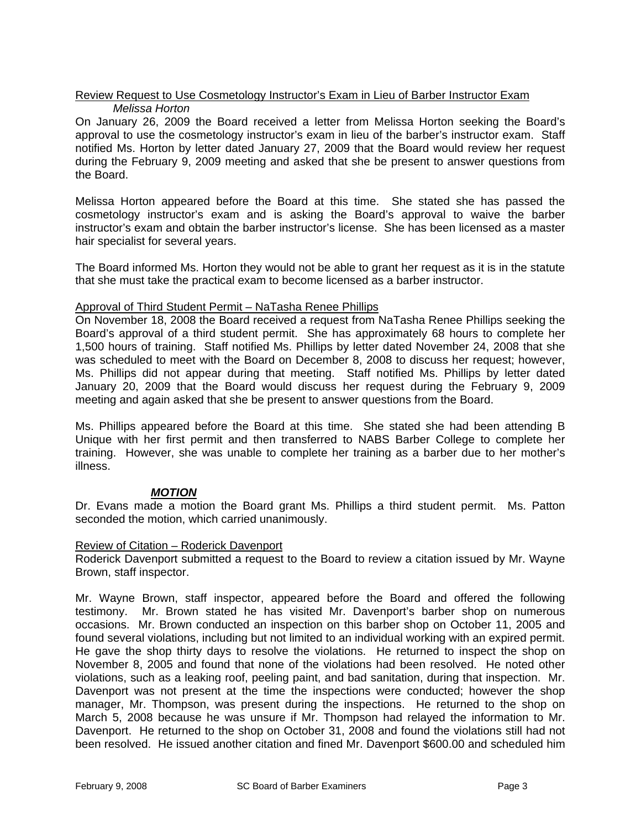# Review Request to Use Cosmetology Instructor's Exam in Lieu of Barber Instructor Exam *Melissa Horton*

On January 26, 2009 the Board received a letter from Melissa Horton seeking the Board's approval to use the cosmetology instructor's exam in lieu of the barber's instructor exam. Staff notified Ms. Horton by letter dated January 27, 2009 that the Board would review her request during the February 9, 2009 meeting and asked that she be present to answer questions from the Board.

Melissa Horton appeared before the Board at this time. She stated she has passed the cosmetology instructor's exam and is asking the Board's approval to waive the barber instructor's exam and obtain the barber instructor's license. She has been licensed as a master hair specialist for several years.

The Board informed Ms. Horton they would not be able to grant her request as it is in the statute that she must take the practical exam to become licensed as a barber instructor.

### Approval of Third Student Permit – NaTasha Renee Phillips

On November 18, 2008 the Board received a request from NaTasha Renee Phillips seeking the Board's approval of a third student permit. She has approximately 68 hours to complete her 1,500 hours of training. Staff notified Ms. Phillips by letter dated November 24, 2008 that she was scheduled to meet with the Board on December 8, 2008 to discuss her request; however, Ms. Phillips did not appear during that meeting. Staff notified Ms. Phillips by letter dated January 20, 2009 that the Board would discuss her request during the February 9, 2009 meeting and again asked that she be present to answer questions from the Board.

Ms. Phillips appeared before the Board at this time. She stated she had been attending B Unique with her first permit and then transferred to NABS Barber College to complete her training. However, she was unable to complete her training as a barber due to her mother's illness.

# *MOTION*

Dr. Evans made a motion the Board grant Ms. Phillips a third student permit. Ms. Patton seconded the motion, which carried unanimously.

### Review of Citation – Roderick Davenport

Roderick Davenport submitted a request to the Board to review a citation issued by Mr. Wayne Brown, staff inspector.

Mr. Wayne Brown, staff inspector, appeared before the Board and offered the following testimony. Mr. Brown stated he has visited Mr. Davenport's barber shop on numerous occasions. Mr. Brown conducted an inspection on this barber shop on October 11, 2005 and found several violations, including but not limited to an individual working with an expired permit. He gave the shop thirty days to resolve the violations. He returned to inspect the shop on November 8, 2005 and found that none of the violations had been resolved. He noted other violations, such as a leaking roof, peeling paint, and bad sanitation, during that inspection. Mr. Davenport was not present at the time the inspections were conducted; however the shop manager, Mr. Thompson, was present during the inspections. He returned to the shop on March 5, 2008 because he was unsure if Mr. Thompson had relayed the information to Mr. Davenport. He returned to the shop on October 31, 2008 and found the violations still had not been resolved. He issued another citation and fined Mr. Davenport \$600.00 and scheduled him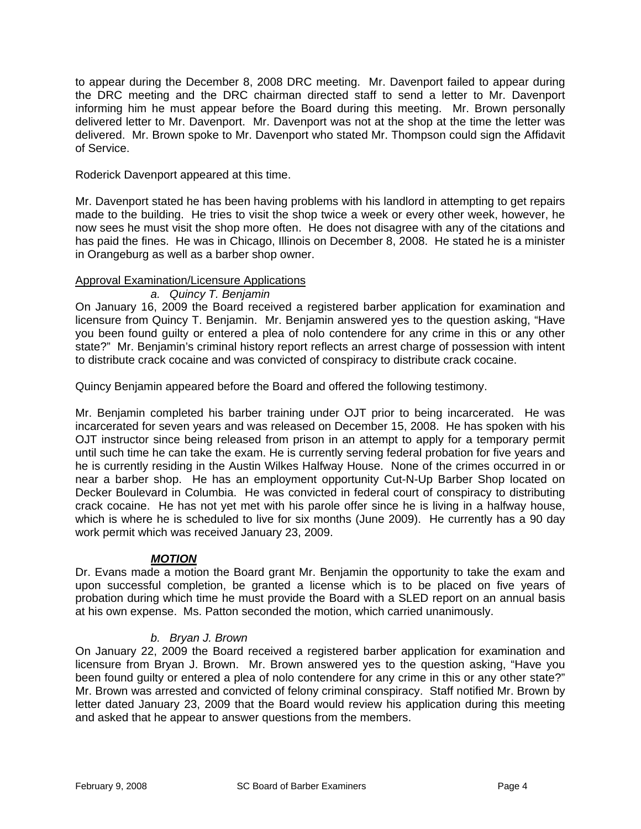to appear during the December 8, 2008 DRC meeting. Mr. Davenport failed to appear during the DRC meeting and the DRC chairman directed staff to send a letter to Mr. Davenport informing him he must appear before the Board during this meeting. Mr. Brown personally delivered letter to Mr. Davenport. Mr. Davenport was not at the shop at the time the letter was delivered. Mr. Brown spoke to Mr. Davenport who stated Mr. Thompson could sign the Affidavit of Service.

Roderick Davenport appeared at this time.

Mr. Davenport stated he has been having problems with his landlord in attempting to get repairs made to the building. He tries to visit the shop twice a week or every other week, however, he now sees he must visit the shop more often. He does not disagree with any of the citations and has paid the fines. He was in Chicago, Illinois on December 8, 2008. He stated he is a minister in Orangeburg as well as a barber shop owner.

# Approval Examination/Licensure Applications

*a. Quincy T. Benjamin*

On January 16, 2009 the Board received a registered barber application for examination and licensure from Quincy T. Benjamin. Mr. Benjamin answered yes to the question asking, "Have you been found guilty or entered a plea of nolo contendere for any crime in this or any other state?" Mr. Benjamin's criminal history report reflects an arrest charge of possession with intent to distribute crack cocaine and was convicted of conspiracy to distribute crack cocaine.

Quincy Benjamin appeared before the Board and offered the following testimony.

Mr. Benjamin completed his barber training under OJT prior to being incarcerated. He was incarcerated for seven years and was released on December 15, 2008. He has spoken with his OJT instructor since being released from prison in an attempt to apply for a temporary permit until such time he can take the exam. He is currently serving federal probation for five years and he is currently residing in the Austin Wilkes Halfway House. None of the crimes occurred in or near a barber shop. He has an employment opportunity Cut-N-Up Barber Shop located on Decker Boulevard in Columbia. He was convicted in federal court of conspiracy to distributing crack cocaine. He has not yet met with his parole offer since he is living in a halfway house, which is where he is scheduled to live for six months (June 2009). He currently has a 90 day work permit which was received January 23, 2009.

# *MOTION*

Dr. Evans made a motion the Board grant Mr. Benjamin the opportunity to take the exam and upon successful completion, be granted a license which is to be placed on five years of probation during which time he must provide the Board with a SLED report on an annual basis at his own expense. Ms. Patton seconded the motion, which carried unanimously.

# *b. Bryan J. Brown*

On January 22, 2009 the Board received a registered barber application for examination and licensure from Bryan J. Brown. Mr. Brown answered yes to the question asking, "Have you been found guilty or entered a plea of nolo contendere for any crime in this or any other state?" Mr. Brown was arrested and convicted of felony criminal conspiracy. Staff notified Mr. Brown by letter dated January 23, 2009 that the Board would review his application during this meeting and asked that he appear to answer questions from the members.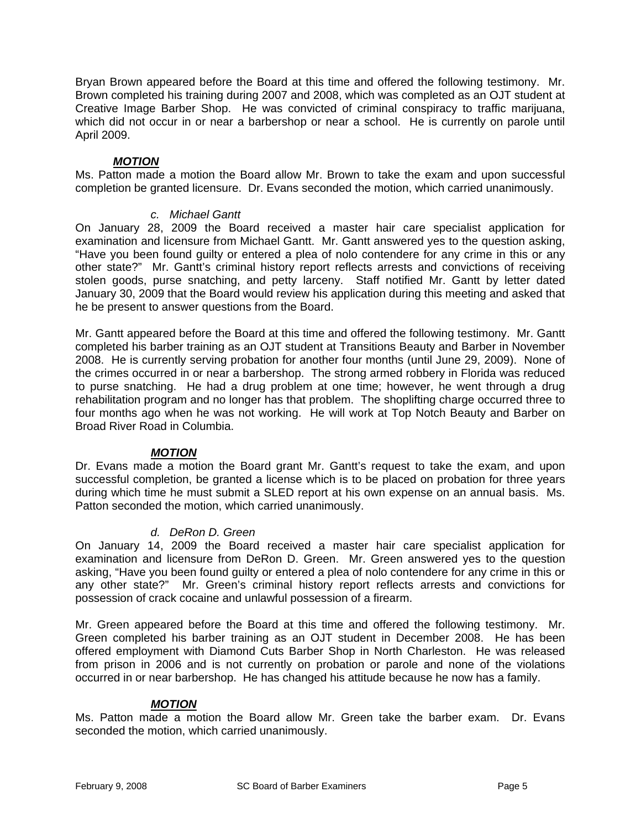Bryan Brown appeared before the Board at this time and offered the following testimony. Mr. Brown completed his training during 2007 and 2008, which was completed as an OJT student at Creative Image Barber Shop. He was convicted of criminal conspiracy to traffic marijuana, which did not occur in or near a barbershop or near a school. He is currently on parole until April 2009.

# *MOTION*

Ms. Patton made a motion the Board allow Mr. Brown to take the exam and upon successful completion be granted licensure. Dr. Evans seconded the motion, which carried unanimously.

# *c. Michael Gantt*

On January 28, 2009 the Board received a master hair care specialist application for examination and licensure from Michael Gantt. Mr. Gantt answered yes to the question asking, "Have you been found guilty or entered a plea of nolo contendere for any crime in this or any other state?" Mr. Gantt's criminal history report reflects arrests and convictions of receiving stolen goods, purse snatching, and petty larceny. Staff notified Mr. Gantt by letter dated January 30, 2009 that the Board would review his application during this meeting and asked that he be present to answer questions from the Board.

Mr. Gantt appeared before the Board at this time and offered the following testimony. Mr. Gantt completed his barber training as an OJT student at Transitions Beauty and Barber in November 2008. He is currently serving probation for another four months (until June 29, 2009). None of the crimes occurred in or near a barbershop. The strong armed robbery in Florida was reduced to purse snatching. He had a drug problem at one time; however, he went through a drug rehabilitation program and no longer has that problem. The shoplifting charge occurred three to four months ago when he was not working. He will work at Top Notch Beauty and Barber on Broad River Road in Columbia.

# *MOTION*

Dr. Evans made a motion the Board grant Mr. Gantt's request to take the exam, and upon successful completion, be granted a license which is to be placed on probation for three years during which time he must submit a SLED report at his own expense on an annual basis. Ms. Patton seconded the motion, which carried unanimously.

# *d. DeRon D. Green*

On January 14, 2009 the Board received a master hair care specialist application for examination and licensure from DeRon D. Green. Mr. Green answered yes to the question asking, "Have you been found guilty or entered a plea of nolo contendere for any crime in this or any other state?" Mr. Green's criminal history report reflects arrests and convictions for possession of crack cocaine and unlawful possession of a firearm.

Mr. Green appeared before the Board at this time and offered the following testimony. Mr. Green completed his barber training as an OJT student in December 2008. He has been offered employment with Diamond Cuts Barber Shop in North Charleston. He was released from prison in 2006 and is not currently on probation or parole and none of the violations occurred in or near barbershop. He has changed his attitude because he now has a family.

# *MOTION*

Ms. Patton made a motion the Board allow Mr. Green take the barber exam. Dr. Evans seconded the motion, which carried unanimously.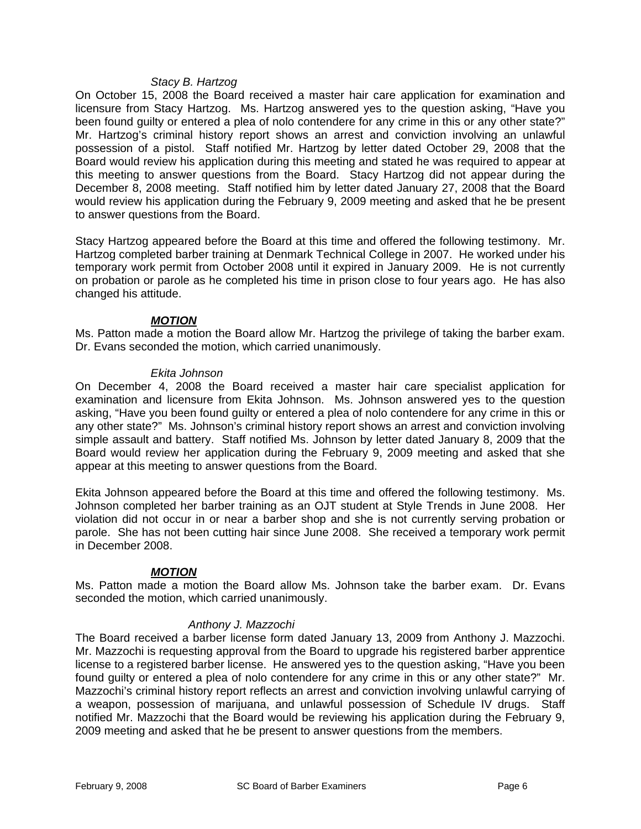#### *Stacy B. Hartzog*

On October 15, 2008 the Board received a master hair care application for examination and licensure from Stacy Hartzog. Ms. Hartzog answered yes to the question asking, "Have you been found guilty or entered a plea of nolo contendere for any crime in this or any other state?" Mr. Hartzog's criminal history report shows an arrest and conviction involving an unlawful possession of a pistol. Staff notified Mr. Hartzog by letter dated October 29, 2008 that the Board would review his application during this meeting and stated he was required to appear at this meeting to answer questions from the Board. Stacy Hartzog did not appear during the December 8, 2008 meeting. Staff notified him by letter dated January 27, 2008 that the Board would review his application during the February 9, 2009 meeting and asked that he be present to answer questions from the Board.

Stacy Hartzog appeared before the Board at this time and offered the following testimony. Mr. Hartzog completed barber training at Denmark Technical College in 2007. He worked under his temporary work permit from October 2008 until it expired in January 2009. He is not currently on probation or parole as he completed his time in prison close to four years ago. He has also changed his attitude.

# *MOTION*

Ms. Patton made a motion the Board allow Mr. Hartzog the privilege of taking the barber exam. Dr. Evans seconded the motion, which carried unanimously.

### *Ekita Johnson*

On December 4, 2008 the Board received a master hair care specialist application for examination and licensure from Ekita Johnson. Ms. Johnson answered yes to the question asking, "Have you been found guilty or entered a plea of nolo contendere for any crime in this or any other state?" Ms. Johnson's criminal history report shows an arrest and conviction involving simple assault and battery. Staff notified Ms. Johnson by letter dated January 8, 2009 that the Board would review her application during the February 9, 2009 meeting and asked that she appear at this meeting to answer questions from the Board.

Ekita Johnson appeared before the Board at this time and offered the following testimony. Ms. Johnson completed her barber training as an OJT student at Style Trends in June 2008. Her violation did not occur in or near a barber shop and she is not currently serving probation or parole. She has not been cutting hair since June 2008. She received a temporary work permit in December 2008.

### *MOTION*

Ms. Patton made a motion the Board allow Ms. Johnson take the barber exam. Dr. Evans seconded the motion, which carried unanimously.

### *Anthony J. Mazzochi*

The Board received a barber license form dated January 13, 2009 from Anthony J. Mazzochi. Mr. Mazzochi is requesting approval from the Board to upgrade his registered barber apprentice license to a registered barber license. He answered yes to the question asking, "Have you been found guilty or entered a plea of nolo contendere for any crime in this or any other state?" Mr. Mazzochi's criminal history report reflects an arrest and conviction involving unlawful carrying of a weapon, possession of marijuana, and unlawful possession of Schedule IV drugs. Staff notified Mr. Mazzochi that the Board would be reviewing his application during the February 9, 2009 meeting and asked that he be present to answer questions from the members.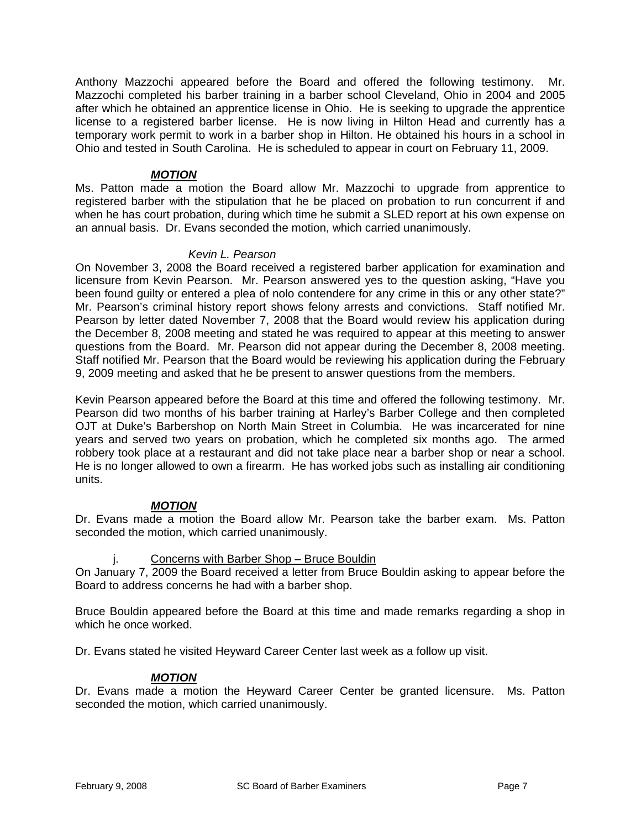Anthony Mazzochi appeared before the Board and offered the following testimony. Mr. Mazzochi completed his barber training in a barber school Cleveland, Ohio in 2004 and 2005 after which he obtained an apprentice license in Ohio. He is seeking to upgrade the apprentice license to a registered barber license. He is now living in Hilton Head and currently has a temporary work permit to work in a barber shop in Hilton. He obtained his hours in a school in Ohio and tested in South Carolina. He is scheduled to appear in court on February 11, 2009.

### *MOTION*

Ms. Patton made a motion the Board allow Mr. Mazzochi to upgrade from apprentice to registered barber with the stipulation that he be placed on probation to run concurrent if and when he has court probation, during which time he submit a SLED report at his own expense on an annual basis. Dr. Evans seconded the motion, which carried unanimously.

# *Kevin L. Pearson*

On November 3, 2008 the Board received a registered barber application for examination and licensure from Kevin Pearson. Mr. Pearson answered yes to the question asking, "Have you been found guilty or entered a plea of nolo contendere for any crime in this or any other state?" Mr. Pearson's criminal history report shows felony arrests and convictions. Staff notified Mr. Pearson by letter dated November 7, 2008 that the Board would review his application during the December 8, 2008 meeting and stated he was required to appear at this meeting to answer questions from the Board. Mr. Pearson did not appear during the December 8, 2008 meeting. Staff notified Mr. Pearson that the Board would be reviewing his application during the February 9, 2009 meeting and asked that he be present to answer questions from the members.

Kevin Pearson appeared before the Board at this time and offered the following testimony. Mr. Pearson did two months of his barber training at Harley's Barber College and then completed OJT at Duke's Barbershop on North Main Street in Columbia. He was incarcerated for nine years and served two years on probation, which he completed six months ago. The armed robbery took place at a restaurant and did not take place near a barber shop or near a school. He is no longer allowed to own a firearm. He has worked jobs such as installing air conditioning units.

# *MOTION*

Dr. Evans made a motion the Board allow Mr. Pearson take the barber exam. Ms. Patton seconded the motion, which carried unanimously.

# j. Concerns with Barber Shop – Bruce Bouldin

On January 7, 2009 the Board received a letter from Bruce Bouldin asking to appear before the Board to address concerns he had with a barber shop.

Bruce Bouldin appeared before the Board at this time and made remarks regarding a shop in which he once worked.

Dr. Evans stated he visited Heyward Career Center last week as a follow up visit.

# *MOTION*

Dr. Evans made a motion the Heyward Career Center be granted licensure. Ms. Patton seconded the motion, which carried unanimously.